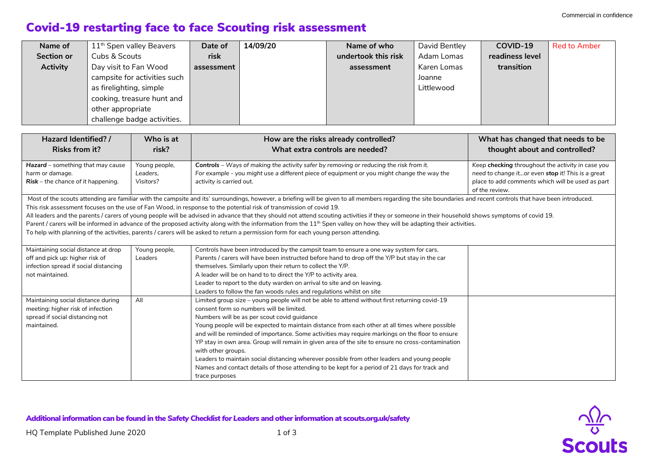$\frac{\sqrt{2}}{8}$ 

## Covid-19 restarting face to face Scouting risk assessment

| Name of           | 11 <sup>th</sup> Spen valley Beavers | Date of    | 14/09/20 | Name of who         | David Bentley | COVID-19        | <b>Red to Amber</b> |
|-------------------|--------------------------------------|------------|----------|---------------------|---------------|-----------------|---------------------|
| <b>Section or</b> | Cubs & Scouts                        | risk       |          | undertook this risk | Adam Lomas    | readiness level |                     |
| <b>Activity</b>   | Day visit to Fan Wood                | assessment |          | assessment          | Karen Lomas   | transition      |                     |
|                   | campsite for activities such         |            |          |                     | Joanne        |                 |                     |
|                   | as firelighting, simple              |            |          |                     | Littlewood    |                 |                     |
|                   | cooking, treasure hunt and           |            |          |                     |               |                 |                     |
|                   | other appropriate                    |            |          |                     |               |                 |                     |
|                   | challenge badge activities.          |            |          |                     |               |                 |                     |

| Hazard Identified? /<br><b>Risks from it?</b>                                                                                      | Who is at<br>risk?                     | How are the risks already controlled?<br>What extra controls are needed?                                                                                                                                                                                                                                                                                                                                                                                                                                                                                                                                                                                                                                                                                                                                                                                                     | What has changed that needs to be<br>thought about and controlled?                                                                                                           |
|------------------------------------------------------------------------------------------------------------------------------------|----------------------------------------|------------------------------------------------------------------------------------------------------------------------------------------------------------------------------------------------------------------------------------------------------------------------------------------------------------------------------------------------------------------------------------------------------------------------------------------------------------------------------------------------------------------------------------------------------------------------------------------------------------------------------------------------------------------------------------------------------------------------------------------------------------------------------------------------------------------------------------------------------------------------------|------------------------------------------------------------------------------------------------------------------------------------------------------------------------------|
| Hazard - something that may cause<br>harm or damage.<br>$Risk$ – the chance of it happening.                                       | Young people,<br>Leaders.<br>Visitors? | Controls - Ways of making the activity safer by removing or reducing the risk from it.<br>For example - you might use a different piece of equipment or you might change the way the<br>activity is carried out.                                                                                                                                                                                                                                                                                                                                                                                                                                                                                                                                                                                                                                                             | Keep checking throughout the activity in case you<br>need to change itor even stop it! This is a great<br>place to add comments which will be used as part<br>of the review. |
|                                                                                                                                    |                                        | Most of the scouts attending are familiar with the campsite and its' surroundings, however, a briefing will be given to all members regarding the site boundaries and recent controls that have been introduced.<br>This risk assessment focuses on the use of Fan Wood, in response to the potential risk of transmission of covid 19.<br>All leaders and the parents / carers of young people will be advised in advance that they should not attend scouting activities if they or someone in their household shows symptoms of covid 19.<br>Parent / carers will be informed in advance of the proposed activity along with the information from the 11 <sup>th</sup> Spen valley on how they will be adapting their activities.<br>To help with planning of the activities, parents / carers will be asked to return a permission form for each young person attending. |                                                                                                                                                                              |
| Maintaining social distance at drop<br>off and pick up: higher risk of<br>infection spread if social distancing<br>not maintained. | Young people,<br>Leaders               | Controls have been introduced by the campsit team to ensure a one way system for cars.<br>Parents / carers will have been instructed before hand to drop off the Y/P but stay in the car<br>themselves. Similarly upon their return to collect the Y/P.<br>A leader will be on hand to to direct the Y/P to activity area.<br>Leader to report to the duty warden on arrival to site and on leaving.<br>Leaders to follow the fan woods rules and regulations whilst on site                                                                                                                                                                                                                                                                                                                                                                                                 |                                                                                                                                                                              |
| Maintaining social distance during<br>meeting: higher risk of infection<br>spread if social distancing not<br>maintained.          | All                                    | Limited group size – young people will not be able to attend without first returning covid-19<br>consent form so numbers will be limited.<br>Numbers will be as per scout covid guidance<br>Young people will be expected to maintain distance from each other at all times where possible<br>and will be reminded of importance. Some activities may require markings on the floor to ensure<br>YP stay in own area. Group will remain in given area of the site to ensure no cross-contamination<br>with other groups.<br>Leaders to maintain social distancing wherever possible from other leaders and young people<br>Names and contact details of those attending to be kept for a period of 21 days for track and<br>trace purposes                                                                                                                                   |                                                                                                                                                                              |

Additional information can be found in the *Safety Checklist for Leaders* and other information at scouts.org.uk/safety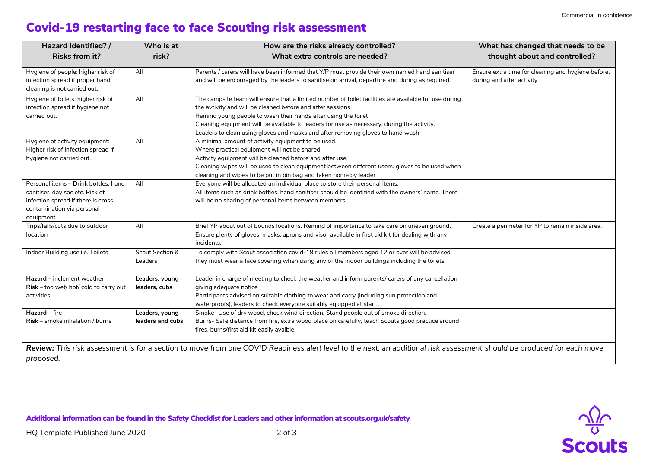$\frac{\sqrt{2}}{8}$ 

## Covid-19 restarting face to face Scouting risk assessment

| Hazard Identified? /                                                                                                                                     | Who is at                          | How are the risks already controlled?                                                                                                                                                                                                                                                                                                                                                                                  | What has changed that needs to be                                               |
|----------------------------------------------------------------------------------------------------------------------------------------------------------|------------------------------------|------------------------------------------------------------------------------------------------------------------------------------------------------------------------------------------------------------------------------------------------------------------------------------------------------------------------------------------------------------------------------------------------------------------------|---------------------------------------------------------------------------------|
| <b>Risks from it?</b>                                                                                                                                    | risk?                              | What extra controls are needed?                                                                                                                                                                                                                                                                                                                                                                                        | thought about and controlled?                                                   |
| Hygiene of people: higher risk of<br>infection spread if proper hand<br>cleaning is not carried out.                                                     | All                                | Parents / carers will have been informed that Y/P must provide their own named hand sanitiser<br>and will be encouraged by the leaders to sanitise on arrival, departure and during as required.                                                                                                                                                                                                                       | Ensure extra time for cleaning and hygiene before,<br>during and after activity |
| Hygiene of toilets: higher risk of<br>infection spread if hygiene not<br>carried out.                                                                    | All                                | The campsite team will ensure that a limited number of toilet facilities are available for use during<br>the avtivity and will be cleaned before and after sessions.<br>Remind young people to wash their hands after using the toilet<br>Cleaning equipment will be available to leaders for use as necessary, during the activity.<br>Leaders to clean using gloves and masks and after removing gloves to hand wash |                                                                                 |
| Hygiene of activity equipment:<br>Higher risk of infection spread if<br>hygiene not carried out.                                                         | All                                | A minimal amount of activity equipment to be used.<br>Where practical equipment will not be shared.<br>Activity equipment will be cleaned before and after use,<br>Cleaning wipes will be used to clean equipment between different users. gloves to be used when<br>cleaning and wipes to be put in bin bag and taken home by leader                                                                                  |                                                                                 |
| Personal items - Drink bottles, hand<br>sanitiser, day sac etc. Risk of<br>infection spread if there is cross<br>contamination via personal<br>equipment | All                                | Everyone will be allocated an individual place to store their personal items.<br>All items such as drink bottles, hand sanitiser should be identified with the owners' name. There<br>will be no sharing of personal items between members.                                                                                                                                                                            |                                                                                 |
| Trips/falls/cuts due to outdoor<br>location                                                                                                              | All                                | Brief YP about out of bounds locations. Remind of importance to take care on uneven ground.<br>Ensure plenty of gloves, masks, aprons and visor available in first aid kit for dealing with any<br>incidents.                                                                                                                                                                                                          | Create a perimeter for YP to remain inside area.                                |
| Indoor Building use i.e. Toilets                                                                                                                         | Scout Section &<br>Leaders         | To comply with Scout association covid-19 rules all members aged 12 or over will be advised<br>they must wear a face covering when using any of the indoor buildings including the toilets.                                                                                                                                                                                                                            |                                                                                 |
| Hazard - inclement weather<br>$Risk - too$ wet/ hot/ cold to carry out<br>activities                                                                     | Leaders, young<br>leaders, cubs    | Leader in charge of meeting to check the weather and inform parents/ carers of any cancellation<br>giving adequate notice<br>Participants advised on suitable clothing to wear and carry (including sun protection and<br>waterproofs), leaders to check everyone suitably equipped at start                                                                                                                           |                                                                                 |
| Hazard - fire<br>Risk - smoke inhalation / burns                                                                                                         | Leaders, young<br>leaders and cubs | Smoke- Use of dry wood, check wind direction, Stand people out of smoke direction.<br>Burns- Safe distance from fire, extra wood place on cafefully, teach Scouts good practice around<br>fires, burns/first aid kit easily avaible.                                                                                                                                                                                   |                                                                                 |
| proposed.                                                                                                                                                |                                    | Review: This risk assessment is for a section to move from one COVID Readiness alert level to the next, an additional risk assessment should be produced for each move                                                                                                                                                                                                                                                 |                                                                                 |